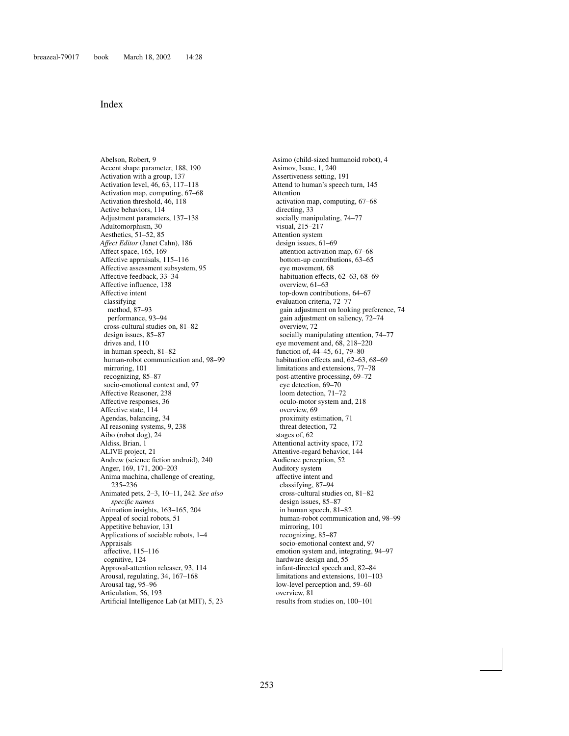## Index

Abelson, Robert, 9 Accent shape parameter, 188, 190 Activation with a group, 137 Activation level, 46, 63, 117–118 Activation map, computing, 67–68 Activation threshold, 46, 118 Active behaviors, 114 Adjustment parameters, 137–138 Adultomorphism, 30 Aesthetics, 51–52, 85 *Affect Editor* (Janet Cahn), 186 Affect space, 165, 169 Affective appraisals, 115–116 Affective assessment subsystem, 95 Affective feedback, 33–34 Affective influence, 138 Affective intent classifying method, 87–93 performance, 93–94 cross-cultural studies on, 81–82 design issues, 85–87 drives and, 110 in human speech, 81–82 human-robot communication and, 98–99 mirroring, 101 recognizing, 85–87 socio-emotional context and, 97 Affective Reasoner, 238 Affective responses, 36 Affective state, 114 Agendas, balancing, 34 AI reasoning systems, 9, 238 Aibo (robot dog), 24 Aldiss, Brian, 1 ALIVE project, 21 Andrew (science fiction android), 240 Anger, 169, 171, 200–203 Anima machina, challenge of creating, 235–236 Animated pets, 2–3, 10–11, 242. *See also specific names* Animation insights, 163–165, 204 Appeal of social robots, 51 Appetitive behavior, 131 Applications of sociable robots, 1–4 Appraisals affective, 115–116 cognitive, 124 Approval-attention releaser, 93, 114 Arousal, regulating, 34, 167–168 Arousal tag, 95–96 Articulation, 56, 193 Artificial Intelligence Lab (at MIT), 5, 23

Asimo (child-sized humanoid robot), 4 Asimov, Isaac, 1, 240 Assertiveness setting, 191 Attend to human's speech turn, 145 Attention activation map, computing, 67–68 directing, 33 socially manipulating, 74–77 visual, 215–217 Attention system design issues, 61–69 attention activation map, 67–68 bottom-up contributions, 63–65 eye movement, 68 habituation effects, 62–63, 68–69 overview, 61–63 top-down contributions, 64–67 evaluation criteria, 72–77 [gain adjustment on looking preference, 74](#page--1-0) gain adjustment on saliency, 72–74 overview, 72 socially manipulating attention, 74–77 eye movement and, 68, 218–220 function of, 44–45, 61, 79–80 habituation effects and, 62–63, 68–69 limitations and extensions, 77–78 post-attentive processing, 69–72 eye detection, 69–70 loom detection, 71–72 oculo-motor system and, 218 overview, 69 proximity estimation, 71 threat detection, 72 stages of, 62 Attentional activity space, 172 Attentive-regard behavior, 144 Audience perception, 52 Auditory system affective intent and classifying, 87–94 cross-cultural studies on, 81–82 design issues, 85–87 in human speech, 81–82 human-robot communication and, 98–99 mirroring, 101 recognizing, 85–87 socio-emotional context and, 97 emotion system and, integrating, 94–97 hardware design and, 55 infant-directed speech and, 82–84 limitations and extensions, 101–103 low-level perception and, 59–60 overview, 81 results from studies on, 100–101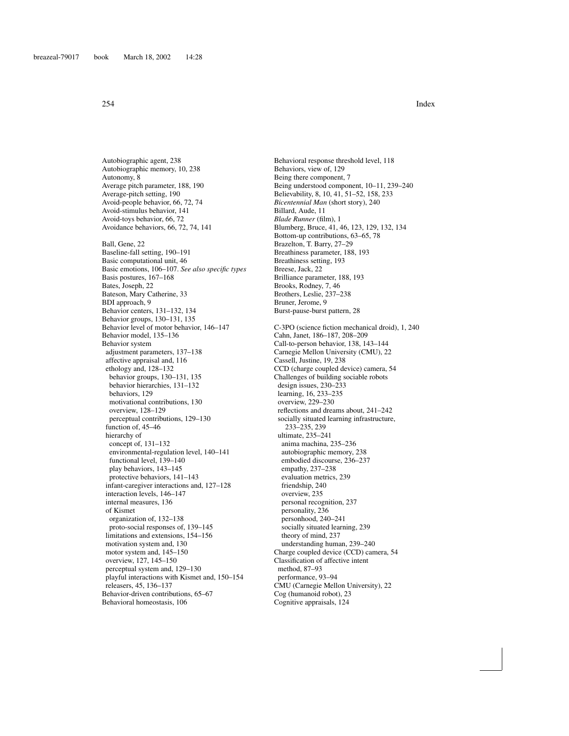Autobiographic agent, 238 Autobiographic memory, 10, 238 Autonomy, 8 Average pitch parameter, 188, 190 Average-pitch setting, 190 Avoid-people behavior, 66, 72, 74 Avoid-stimulus behavior, 141 Avoid-toys behavior, 66, 72 Avoidance behaviors, 66, 72, 74, 141 Ball, Gene, 22 Baseline-fall setting, 190–191 Basic computational unit, 46 Basic emotions, 106–107. *See also specific types* Basis postures, 167–168 Bates, Joseph, 22 Bateson, Mary Catherine, 33 BDI approach, 9 Behavior centers, 131–132, 134 Behavior groups, 130–131, 135 Behavior level of motor behavior, 146–147 Behavior model, 135–136 Behavior system adjustment parameters, 137–138 affective appraisal and, 116 ethology and, 128–132 behavior groups, 130–131, 135 behavior hierarchies, 131–132 behaviors, 129 motivational contributions, 130 overview, 128–129 perceptual contributions, 129–130 function of, 45–46 hierarchy of concept of, 131–132 environmental-regulation level, 140–141 functional level, 139–140 play behaviors, 143–145 protective behaviors, 141–143 infant-caregiver interactions and, 127–128 interaction levels, 146–147 internal measures, 136 of Kismet organization of, 132–138 proto-social responses of, 139–145 limitations and extensions, 154–156 motivation system and, 130 motor system and, 145–150 overview, 127, 145–150 perceptual system and, 129–130 playful interactions with Kismet and, 150–154 releasers, 45, 136–137 Behavior-driven contributions, 65–67 Behavioral homeostasis, 106

Behavioral response threshold level, 118 Behaviors, view of, 129 Being there component, 7 Being understood component, 10–11, 239–240 Believability, 8, 10, 41, 51–52, 158, 233 *Bicentennial Man* (short story), 240 Billard, Aude, 11 *Blade Runner* (film), 1 Blumberg, Bruce, 41, 46, 123, 129, 132, 134 Bottom-up contributions, 63–65, 78 Brazelton, T. Barry, 27–29 Breathiness parameter, 188, 193 Breathiness setting, 193 Breese, Jack, 22 Brilliance parameter, 188, 193 Brooks, Rodney, 7, 46 Brothers, Leslie, 237–238 Bruner, Jerome, 9 Burst-pause-burst pattern, 28

C-3PO (science fiction mechanical droid), 1, 240 Cahn, Janet, 186–187, 208–209 Call-to-person behavior, 138, 143–144 Carnegie Mellon University (CMU), 22 Cassell, Justine, 19, 238 CCD (charge coupled device) camera, 54 Challenges of building sociable robots design issues, 230–233 learning, 16, 233–235 overview, 229–230 reflections and dreams about, 241–242 socially situated learning infrastructure, 233–235, 239 ultimate, 235–241 anima machina, 235–236 autobiographic memory, 238 embodied discourse, 236–237 empathy, 237–238 evaluation metrics, 239 friendship, 240 overview, 235 personal recognition, 237 personality, 236 personhood, 240–241 socially situated learning, 239 theory of mind, 237 understanding human, 239–240 Charge coupled device (CCD) camera, 54 Classification of affective intent method, 87–93 performance, 93–94 CMU (Carnegie Mellon University), 22 Cog (humanoid robot), 23 Cognitive appraisals, 124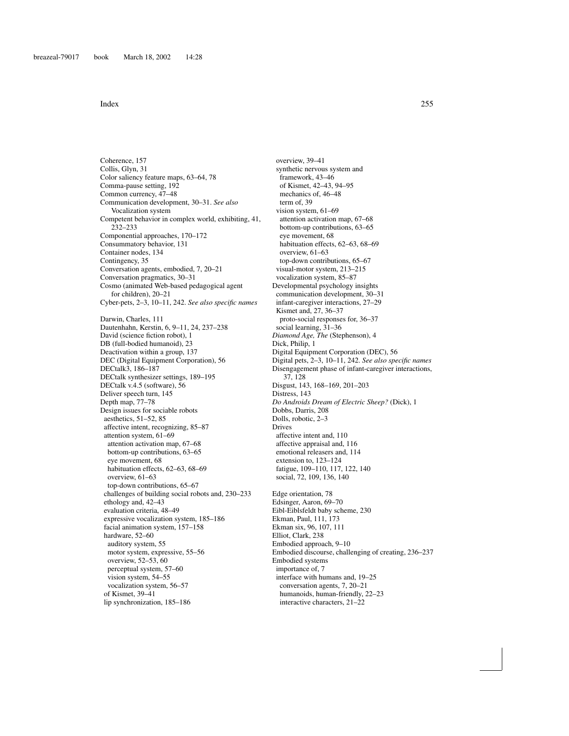Coherence, 157 Collis, Glyn, 31 Color saliency feature maps, 63–64, 78 Comma-pause setting, 192 Common currency, 47–48 Communication development, 30–31. *See also* Vocalization system Competent behavior in complex world, exhibiting, 41, 232–233 Componential approaches, 170–172 Consummatory behavior, 131 Container nodes, 134 Contingency, 35 Conversation agents, embodied, 7, 20–21 Conversation pragmatics, 30–31 Cosmo (animated Web-based pedagogical agent for children), 20–21 Cyber-pets, 2–3, 10–11, 242. *See also specific names* Darwin, Charles, 111 Dautenhahn, Kerstin, 6, 9–11, 24, 237–238 David (science fiction robot), 1 DB (full-bodied humanoid), 23 Deactivation within a group, 137 DEC (Digital Equipment Corporation), 56 DECtalk3, 186–187 DECtalk synthesizer settings, 189–195 DECtalk v.4.5 (software), 56 Deliver speech turn, 145 Depth map, 77–78 Design issues for sociable robots aesthetics, 51–52, 85 affective intent, recognizing, 85–87 attention system, 61–69 attention activation map, 67–68 bottom-up contributions, 63–65 eye movement, 68 habituation effects, 62–63, 68–69 overview, 61–63 top-down contributions, 65–67 challenges of building social robots and, 230–233 ethology and, 42–43 evaluation criteria, 48–49 expressive vocalization system, 185–186 facial animation system, 157–158 hardware, 52–60 auditory system, 55 motor system, expressive, 55–56 overview, 52–53, 60 perceptual system, 57–60 vision system, 54–55 vocalization system, 56–57 of Kismet, 39–41 lip synchronization, 185–186

overview, 39–41 synthetic nervous system and framework, 43–46 of Kismet, 42–43, 94–95 mechanics of, 46–48 term of, 39 vision system, 61–69 attention activation map, 67–68 bottom-up contributions, 63–65 eye movement, 68 habituation effects, 62–63, 68–69 overview, 61–63 top-down contributions, 65–67 visual-motor system, 213–215 vocalization system, 85–87 Developmental psychology insights communication development, 30–31 infant-caregiver interactions, 27–29 Kismet and, 27, 36–37 proto-social responses for, 36–37 social learning, 31–36 *Diamond Age, The* (Stephenson), 4 Dick, Philip, 1 Digital Equipment Corporation (DEC), 56 Digital pets, 2–3, 10–11, 242. *See also specific names* Disengagement phase of infant-caregiver interactions, 37, 128 Disgust, 143, 168–169, 201–203 Distress, 143 *Do Androids Dream of Electric Sheep?* (Dick), 1 Dobbs, Darris, 208 Dolls, robotic, 2–3 Drives affective intent and, 110 affective appraisal and, 116 emotional releasers and, 114 extension to, 123–124 fatigue, 109–110, 117, 122, 140 social, 72, 109, 136, 140 Edge orientation, 78 Edsinger, Aaron, 69–70 Eibl-Eiblsfeldt baby scheme, 230 Ekman, Paul, 111, 173 Ekman six, 96, 107, 111 Elliot, Clark, 238 Embodied approach, 9–10 Embodied discourse, challenging of creating, 236–237 Embodied systems importance of, 7 interface with humans and, 19–25 conversation agents, 7, 20–21 humanoids, human-friendly, 22–23 interactive characters, 21–22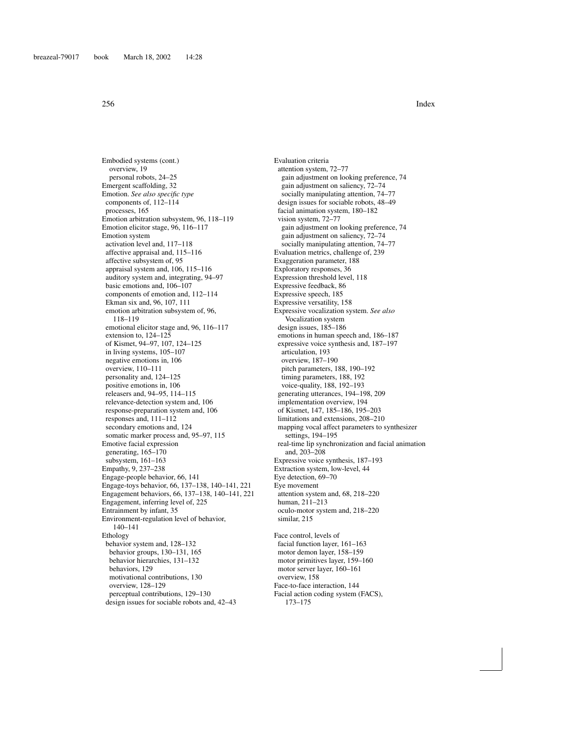Embodied systems (cont.) overview, 19 personal robots, 24–25 Emergent scaffolding, 32 Emotion. *See also specific type* components of, 112–114 processes, 165 Emotion arbitration subsystem, 96, 118–119 Emotion elicitor stage, 96, 116–117 Emotion system activation level and, 117–118 affective appraisal and, 115–116 affective subsystem of, 95 appraisal system and, 106, 115–116 auditory system and, integrating, 94–97 basic emotions and, 106–107 components of emotion and, 112–114 Ekman six and, 96, 107, 111 emotion arbitration subsystem of, 96, 118–119 emotional elicitor stage and, 96, 116–117 extension to, 124–125 of Kismet, 94–97, 107, 124–125 in living systems, 105–107 negative emotions in, 106 overview, 110–111 personality and, 124–125 positive emotions in, 106 releasers and, 94–95, 114–115 relevance-detection system and, 106 response-preparation system and, 106 responses and, 111–112 secondary emotions and, 124 somatic marker process and, 95–97, 115 Emotive facial expression generating, 165–170 subsystem, 161–163 Empathy, 9, 237–238 Engage-people behavior, 66, 141 Engage-toys behavior, 66, 137–138, 140–141, 221 Engagement behaviors, 66, 137–138, 140–141, 221 Engagement, inferring level of, 225 Entrainment by infant, 35 Environment-regulation level of behavior, 140–141 Ethology behavior system and, 128–132 behavior groups, 130–131, 165 behavior hierarchies, 131–132 behaviors, 129 motivational contributions, 130 overview, 128–129 perceptual contributions, 129–130 design issues for sociable robots and, 42–43

Evaluation criteria attention system, 72–77 gain adjustment on looking preference, 74 gain adjustment on saliency, 72–74 socially manipulating attention, 74–77 design issues for sociable robots, 48–49 facial animation system, 180–182 vision system, 72–77 gain adjustment on looking preference, 74 gain adjustment on saliency, 72–74 socially manipulating attention, 74–77 Evaluation metrics, challenge of, 239 Exaggeration parameter, 188 Exploratory responses, 36 Expression threshold level, 118 Expressive feedback, 86 Expressive speech, 185 Expressive versatility, 158 Expressive vocalization system. *See also* Vocalization system design issues, 185–186 emotions in human speech and, 186–187 expressive voice synthesis and, 187–197 articulation, 193 overview, 187–190 pitch parameters, 188, 190–192 timing parameters, 188, 192 voice-quality, 188, 192–193 generating utterances, 194–198, 209 implementation overview, 194 of Kismet, 147, 185–186, 195–203 limitations and extensions, 208–210 mapping vocal affect parameters to synthesizer settings, 194–195 real-time lip synchronization and facial animation and, 203–208 Expressive voice synthesis, 187–193 Extraction system, low-level, 44 Eye detection, 69–70 Eye movement attention system and, 68, 218–220 human, 211–213 oculo-motor system and, 218–220 similar, 215 Face control, levels of facial function layer, 161–163 motor demon layer, 158–159 motor primitives layer, 159–160 motor server layer, 160–161 overview, 158 Face-to-face interaction, 144 Facial action coding system (FACS),

173–175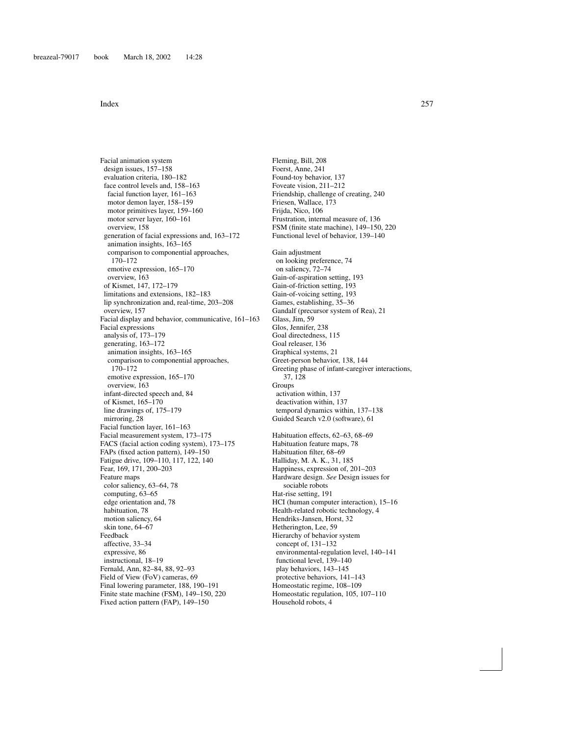Facial animation system design issues, 157–158 evaluation criteria, 180–182 face control levels and, 158–163 facial function layer, 161–163 motor demon layer, 158–159 motor primitives layer, 159–160 motor server layer, 160–161 overview, 158 generation of facial expressions and, 163–172 animation insights, 163–165 comparison to componential approaches, 170–172 emotive expression, 165–170 overview, 163 of Kismet, 147, 172–179 limitations and extensions, 182–183 lip synchronization and, real-time, 203–208 overview, 157 Facial display and behavior, communicative, 161–163 Facial expressions analysis of, 173–179 generating, 163–172 animation insights, 163–165 comparison to componential approaches, 170–172 emotive expression, 165–170 overview, 163 infant-directed speech and, 84 of Kismet, 165–170 line drawings of, 175–179 mirroring, 28 Facial function layer, 161–163 Facial measurement system, 173–175 FACS (facial action coding system), 173–175 FAPs (fixed action pattern), 149–150 Fatigue drive, 109–110, 117, 122, 140 Fear, 169, 171, 200–203 Feature maps color saliency, 63–64, 78 computing, 63–65 edge orientation and, 78 habituation, 78 motion saliency, 64 skin tone, 64–67 Feedback affective, 33–34 expressive, 86 instructional, 18–19 Fernald, Ann, 82–84, 88, 92–93 Field of View (FoV) cameras, 69 Final lowering parameter, 188, 190–191 Finite state machine (FSM), 149–150, 220 Fixed action pattern (FAP), 149–150

Fleming, Bill, 208 Foerst, Anne, 241 Found-toy behavior, 137 Foveate vision, 211–212 Friendship, challenge of creating, 240 Friesen, Wallace, 173 Frijda, Nico, 106 Frustration, internal measure of, 136 FSM (finite state machine), 149–150, 220 Functional level of behavior, 139–140 Gain adjustment on looking preference, 74 on saliency, 72–74 Gain-of-aspiration setting, 193 Gain-of-friction setting, 193 Gain-of-voicing setting, 193 Games, establishing, 35–36 Gandalf (precursor system of Rea), 21 Glass, Jim, 59 Glos, Jennifer, 238 Goal directedness, 115 Goal releaser, 136 Graphical systems, 21 Greet-person behavior, 138, 144 Greeting phase of infant-caregiver interactions, 37, 128 **Groups** activation within, 137 deactivation within, 137 temporal dynamics within, 137–138 Guided Search v2.0 (software), 61 Habituation effects, 62–63, 68–69 Habituation feature maps, 78 Habituation filter, 68–69 Halliday, M. A. K., 31, 185 Happiness, expression of, 201–203 Hardware design. *See* Design issues for sociable robots Hat-rise setting, 191 HCI (human computer interaction), 15–16 Health-related robotic technology, 4 Hendriks-Jansen, Horst, 32 Hetherington, Lee, 59 Hierarchy of behavior system concept of, 131–132 environmental-regulation level, 140–141 functional level, 139–140 play behaviors, 143–145 protective behaviors, 141–143 Homeostatic regime, 108–109 Homeostatic regulation, 105, 107–110 Household robots, 4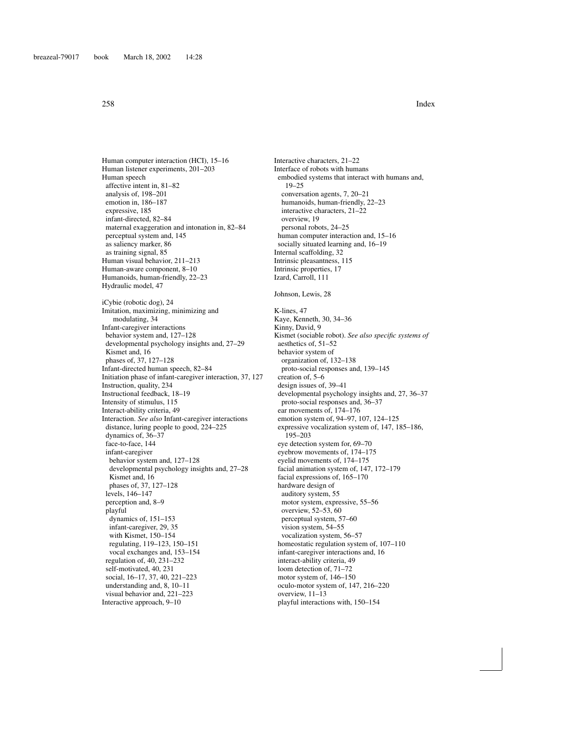Human computer interaction (HCI), 15–16 Human listener experiments, 201–203 Human speech affective intent in, 81–82 analysis of, 198–201 emotion in, 186–187 expressive, 185 infant-directed, 82–84 maternal exaggeration and intonation in, 82–84 perceptual system and, 145 as saliency marker, 86 as training signal, 85 Human visual behavior, 211–213 Human-aware component, 8–10 Humanoids, human-friendly, 22–23 Hydraulic model, 47 iCybie (robotic dog), 24 Imitation, maximizing, minimizing and modulating, 34 Infant-caregiver interactions behavior system and, 127–128 developmental psychology insights and, 27–29 Kismet and, 16 phases of, 37, 127–128 Infant-directed human speech, 82–84 Initiation phase of infant-caregiver interaction, 37, 127 Instruction, quality, 234 Instructional feedback, 18–19 Intensity of stimulus, 115 Interact-ability criteria, 49 Interaction. *See also* Infant-caregiver interactions distance, luring people to good, 224–225 dynamics of, 36–37 face-to-face, 144 infant-caregiver behavior system and, 127–128 developmental psychology insights and, 27–28 Kismet and, 16 phases of, 37, 127–128 levels, 146–147 perception and, 8–9 playful dynamics of, 151–153 infant-caregiver, 29, 35 with Kismet, 150–154 regulating, 119–123, 150–151 vocal exchanges and, 153–154 regulation of, 40, 231–232 self-motivated, 40, 231 social, 16–17, 37, 40, 221–223 understanding and, 8, 10–11 visual behavior and, 221–223 Interactive approach, 9–10

Interface of robots with humans embodied systems that interact with humans and, 19–25 conversation agents, 7, 20–21 humanoids, human-friendly, 22–23 interactive characters, 21–22 overview, 19 personal robots, 24–25 human computer interaction and, 15–16 socially situated learning and, 16–19 Internal scaffolding, 32 Intrinsic pleasantness, 115 Intrinsic properties, 17 Izard, Carroll, 111 Johnson, Lewis, 28 K-lines, 47 Kaye, Kenneth, 30, 34–36 Kinny, David, 9 Kismet (sociable robot). *See also specific systems of* aesthetics of, 51–52 behavior system of organization of, 132–138 proto-social responses and, 139–145 creation of, 5–6 design issues of, 39–41 developmental psychology insights and, 27, 36–37 proto-social responses and, 36–37 ear movements of, 174–176 emotion system of, 94–97, 107, 124–125 expressive vocalization system of, 147, 185–186, 195–203 eye detection system for, 69–70 eyebrow movements of, 174–175 eyelid movements of, 174–175 facial animation system of, 147, 172–179 facial expressions of, 165–170 hardware design of auditory system, 55 motor system, expressive, 55–56 overview, 52–53, 60 perceptual system, 57–60 vision system, 54–55 vocalization system, 56–57 homeostatic regulation system of, 107–110 infant-caregiver interactions and, 16 interact-ability criteria, 49 loom detection of, 71–72 motor system of, 146–150 oculo-motor system of, 147, 216–220 overview, 11–13 playful interactions with, 150–154

Interactive characters, 21–22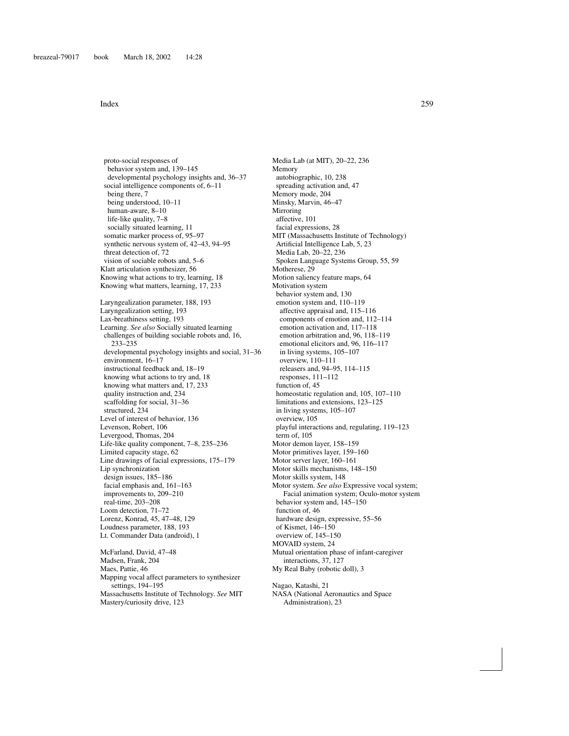proto-social responses of behavior system and, 139–145 developmental psychology insights and, 36–37 social intelligence components of, 6–11 being there, 7 being understood, 10–11 human-aware, 8–10 life-like quality, 7–8 socially situated learning, 11 somatic marker process of, 95–97 synthetic nervous system of, 42–43, 94–95 threat detection of, 72 vision of sociable robots and, 5–6 Klatt articulation synthesizer, 56 Knowing what actions to try, learning, 18 Knowing what matters, learning, 17, 233 Laryngealization parameter, 188, 193 Laryngealization setting, 193 Lax-breathiness setting, 193 Learning. *See also* Socially situated learning challenges of building sociable robots and, 16, 233–235 developmental psychology insights and social, 31–36 environment, 16–17 instructional feedback and, 18–19 knowing what actions to try and, 18 knowing what matters and, 17, 233 quality instruction and, 234 scaffolding for social, 31–36 structured, 234 Level of interest of behavior, 136 Levenson, Robert, 106 Levergood, Thomas, 204 Life-like quality component, 7–8, 235–236 Limited capacity stage, 62 Line drawings of facial expressions, 175–179 Lip synchronization design issues, 185–186 facial emphasis and, 161–163 improvements to, 209–210 real-time, 203–208 Loom detection, 71–72 Lorenz, Konrad, 45, 47–48, 129 Loudness parameter, 188, 193 Lt. Commander Data (android), 1 McFarland, David, 47–48 Madsen, Frank, 204 Maes, Pattie, 46 Mapping vocal affect parameters to synthesizer settings, 194–195 Massachusetts Institute of Technology. *See* MIT

Mastery/curiosity drive, 123

Media Lab (at MIT), 20–22, 236 Memory autobiographic, 10, 238 spreading activation and, 47 Memory mode, 204 Minsky, Marvin, 46–47 Mirroring affective, 101 facial expressions, 28 MIT (Massachusetts Institute of Technology) Artificial Intelligence Lab, 5, 23 Media Lab, 20–22, 236 Spoken Language Systems Group, 55, 59 Motherese, 29 Motion saliency feature maps, 64 Motivation system behavior system and, 130 emotion system and, 110–119 affective appraisal and, 115–116 components of emotion and, 112–114 emotion activation and, 117–118 emotion arbitration and, 96, 118–119 emotional elicitors and, 96, 116–117 in living systems, 105–107 overview, 110–111 releasers and, 94–95, 114–115 responses, 111–112 function of, 45 homeostatic regulation and, 105, 107–110 limitations and extensions, 123–125 in living systems, 105–107 overview, 105 playful interactions and, regulating, 119–123 term of, 105 Motor demon layer, 158–159 Motor primitives layer, 159–160 Motor server layer, 160–161 Motor skills mechanisms, 148–150 Motor skills system, 148 Motor system. *See also* Expressive vocal system; Facial animation system; Oculo-motor system behavior system and, 145–150 function of, 46 hardware design, expressive, 55–56 of Kismet, 146–150 overview of, 145–150 MOVAID system, 24 Mutual orientation phase of infant-caregiver interactions, 37, 127 My Real Baby (robotic doll), 3 Nagao, Katashi, 21 NASA (National Aeronautics and Space Administration), 23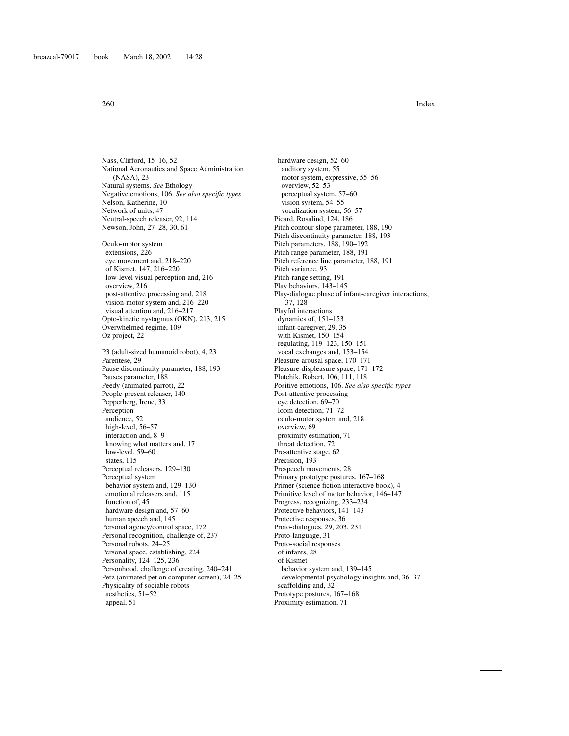Nass, Clifford, 15–16, 52 National Aeronautics and Space Administration (NASA), 23 Natural systems. *See* Ethology Negative emotions, 106. *See also specific types* Nelson, Katherine, 10 Network of units, 47 Neutral-speech releaser, 92, 114 Newson, John, 27–28, 30, 61

Oculo-motor system extensions, 226 eye movement and, 218–220 of Kismet, 147, 216–220 low-level visual perception and, 216 overview, 216 post-attentive processing and, 218 vision-motor system and, 216–220 visual attention and, 216–217 Opto-kinetic nystagmus (OKN), 213, 215 Overwhelmed regime, 109 Oz project, 22

P3 (adult-sized humanoid robot), 4, 23 Parentese, 29 Pause discontinuity parameter, 188, 193 Pauses parameter, 188 Peedy (animated parrot), 22 People-present releaser, 140 Pepperberg, Irene, 33 Perception audience, 52 high-level, 56–57 interaction and, 8–9 knowing what matters and, 17 low-level, 59–60 states, 115 Perceptual releasers, 129–130 Perceptual system behavior system and, 129–130 emotional releasers and, 115 function of, 45 hardware design and, 57–60 human speech and, 145 Personal agency/control space, 172 Personal recognition, challenge of, 237 Personal robots, 24–25 Personal space, establishing, 224 Personality, 124–125, 236 Personhood, challenge of creating, 240–241 Petz (animated pet on computer screen), 24–25 Physicality of sociable robots aesthetics, 51–52 appeal, 51

hardware design, 52–60 auditory system, 55 motor system, expressive, 55–56 overview, 52–53 perceptual system, 57–60 vision system, 54–55 vocalization system, 56–57 Picard, Rosalind, 124, 186 Pitch contour slope parameter, 188, 190 Pitch discontinuity parameter, 188, 193 Pitch parameters, 188, 190–192 Pitch range parameter, 188, 191 Pitch reference line parameter, 188, 191 Pitch variance, 93 Pitch-range setting, 191 Play behaviors, 143–145 Play-dialogue phase of infant-caregiver interactions, 37, 128 Playful interactions dynamics of, 151–153 infant-caregiver, 29, 35 with Kismet, 150–154 regulating, 119–123, 150–151 vocal exchanges and, 153–154 Pleasure-arousal space, 170–171 Pleasure-displeasure space, 171–172 Plutchik, Robert, 106, 111, 118 Positive emotions, 106. *See also specific types* Post-attentive processing eye detection, 69–70 loom detection, 71–72 oculo-motor system and, 218 overview, 69 proximity estimation, 71 threat detection, 72 Pre-attentive stage, 62 Precision, 193 Prespeech movements, 28 Primary prototype postures, 167–168 Primer (science fiction interactive book), 4 Primitive level of motor behavior, 146–147 Progress, recognizing, 233–234 Protective behaviors, 141–143 Protective responses, 36 Proto-dialogues, 29, 203, 231 Proto-language, 31 Proto-social responses of infants, 28 of Kismet behavior system and, 139–145 developmental psychology insights and, 36–37 scaffolding and, 32 Prototype postures, 167–168 Proximity estimation, 71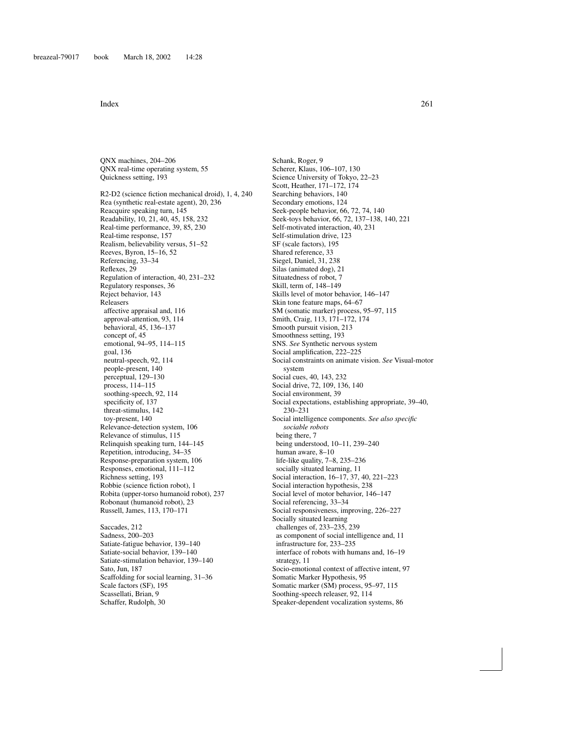QNX machines, 204–206 QNX real-time operating system, 55 Quickness setting, 193

R2-D2 (science fiction mechanical droid), 1, 4, 240 Rea (synthetic real-estate agent), 20, 236 Reacquire speaking turn, 145 Readability, 10, 21, 40, 45, 158, 232 Real-time performance, 39, 85, 230 Real-time response, 157 Realism, believability versus, 51–52 Reeves, Byron, 15–16, 52 Referencing, 33–34 Reflexes, 29 Regulation of interaction, 40, 231–232 Regulatory responses, 36 Reject behavior, 143 Releasers affective appraisal and, 116 approval-attention, 93, 114 behavioral, 45, 136–137 concept of, 45 emotional, 94–95, 114–115 goal, 136 neutral-speech, 92, 114 people-present, 140 perceptual, 129–130 process, 114–115 soothing-speech, 92, 114 specificity of, 137 threat-stimulus, 142 toy-present, 140 Relevance-detection system, 106 Relevance of stimulus, 115 Relinquish speaking turn, 144–145 Repetition, introducing, 34–35 Response-preparation system, 106 Responses, emotional, 111–112 Richness setting, 193 Robbie (science fiction robot), 1 Robita (upper-torso humanoid robot), 237 Robonaut (humanoid robot), 23 Russell, James, 113, 170–171 Saccades, 212

Sadness, 200–203 Satiate-fatigue behavior, 139–140 Satiate-social behavior, 139–140 Satiate-stimulation behavior, 139–140 Sato, Jun, 187 Scaffolding for social learning, 31–36 Scale factors (SF), 195 Scassellati, Brian, 9 Schaffer, Rudolph, 30

Schank, Roger, 9 Scherer, Klaus, 106–107, 130 Science University of Tokyo, 22–23 Scott, Heather, 171–172, 174 Searching behaviors, 140 Secondary emotions, 124 Seek-people behavior, 66, 72, 74, 140 Seek-toys behavior, 66, 72, 137–138, 140, 221 Self-motivated interaction, 40, 231 Self-stimulation drive, 123 SF (scale factors), 195 Shared reference, 33 Siegel, Daniel, 31, 238 Silas (animated dog), 21 Situatedness of robot, 7 Skill, term of, 148–149 Skills level of motor behavior, 146–147 Skin tone feature maps, 64–67 SM (somatic marker) process, 95–97, 115 Smith, Craig, 113, 171–172, 174 Smooth pursuit vision, 213 Smoothness setting, 193 SNS. *See* Synthetic nervous system Social amplification, 222–225 Social constraints on animate vision. *See* Visual-motor system Social cues, 40, 143, 232 Social drive, 72, 109, 136, 140 Social environment, 39 Social expectations, establishing appropriate, 39–40, 230–231 Social intelligence components. *See also specific sociable robots* being there, 7 being understood, 10–11, 239–240 human aware, 8–10 life-like quality, 7–8, 235–236 socially situated learning, 11 Social interaction, 16–17, 37, 40, 221–223 Social interaction hypothesis, 238 Social level of motor behavior, 146–147 Social referencing, 33–34 Social responsiveness, improving, 226–227 Socially situated learning challenges of, 233–235, 239 as component of social intelligence and, 11 infrastructure for, 233–235 interface of robots with humans and, 16–19 strategy, 11 Socio-emotional context of affective intent, 97 Somatic Marker Hypothesis, 95 Somatic marker (SM) process, 95–97, 115 Soothing-speech releaser, 92, 114 Speaker-dependent vocalization systems, 86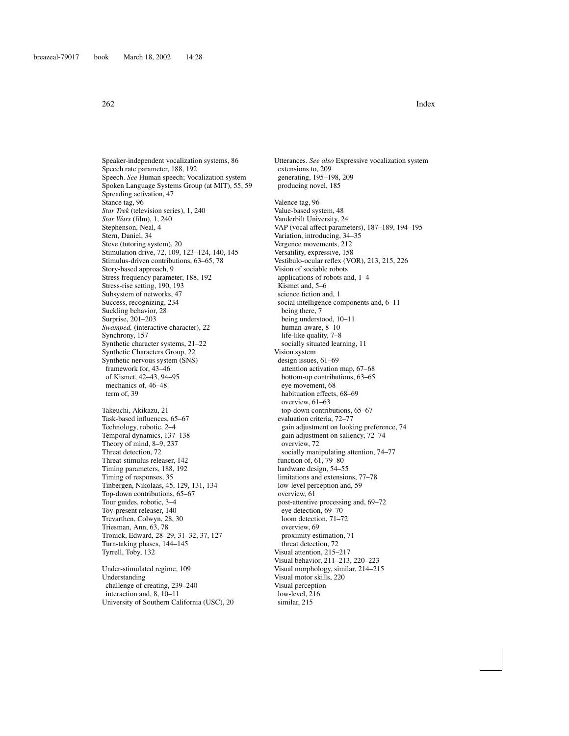Speaker-independent vocalization systems, 86 Speech rate parameter, 188, 192 Speech. *See* Human speech; Vocalization system Spoken Language Systems Group (at MIT), 55, 59 Spreading activation, 47 Stance tag, 96 *Star Trek* (television series), 1, 240 *Star Wars* (film), 1, 240 Stephenson, Neal, 4 Stern, Daniel, 34 Steve (tutoring system), 20 Stimulation drive, 72, 109, 123–124, 140, 145 Stimulus-driven contributions, 63–65, 78 Story-based approach, 9 Stress frequency parameter, 188, 192 Stress-rise setting, 190, 193 Subsystem of networks, 47 Success, recognizing, 234 Suckling behavior, 28 Surprise, 201–203 *Swamped,* (interactive character), 22 Synchrony, 157 Synthetic character systems, 21–22 Synthetic Characters Group, 22 Synthetic nervous system (SNS) framework for, 43–46 of Kismet, 42–43, 94–95 mechanics of, 46–48 term of, 39 Takeuchi, Akikazu, 21 Task-based influences, 65–67 Technology, robotic, 2–4 Temporal dynamics, 137–138 Theory of mind, 8–9, 237 Threat detection, 72 Threat-stimulus releaser, 142 Timing parameters, 188, 192 Timing of responses, 35 Tinbergen, Nikolaas, 45, 129, 131, 134 Top-down contributions, 65–67 Tour guides, robotic, 3–4 Toy-present releaser, 140 Trevarthen, Colwyn, 28, 30 Triesman, Ann, 63, 78 Tronick, Edward, 28–29, 31–32, 37, 127 Turn-taking phases, 144–145 Tyrrell, Toby, 132 Under-stimulated regime, 109 Understanding

challenge of creating, 239–240 interaction and, 8, 10–11 University of Southern California (USC), 20 Utterances. *See also* Expressive vocalization system extensions to, 209 generating, 195–198, 209 producing novel, 185 Valence tag, 96 Value-based system, 48 Vanderbilt University, 24 VAP (vocal affect parameters), 187–189, 194–195 Variation, introducing, 34–35 Vergence movements, 212 Versatility, expressive, 158 Vestibulo-ocular reflex (VOR), 213, 215, 226 Vision of sociable robots applications of robots and, 1–4 Kismet and, 5–6 science fiction and, 1 social intelligence components and, 6–11 being there, 7 being understood, 10–11 human-aware, 8–10 life-like quality, 7–8 socially situated learning, 11 Vision system design issues, 61–69 attention activation map, 67–68 bottom-up contributions, 63–65 eye movement, 68 habituation effects, 68–69 overview, 61–63 top-down contributions, 65–67 evaluation criteria, 72–77 gain adjustment on looking preference, 74 gain adjustment on saliency, 72–74 overview, 72 socially manipulating attention, 74–77 function of, 61, 79–80 hardware design, 54–55 limitations and extensions, 77–78 low-level perception and, 59 overview, 61 post-attentive processing and, 69–72 eye detection, 69–70 loom detection, 71–72 overview, 69 proximity estimation, 71 threat detection, 72 Visual attention, 215–217 Visual behavior, 211–213, 220–223 Visual morphology, similar, 214–215 Visual motor skills, 220 Visual perception low-level, 216 similar, 215